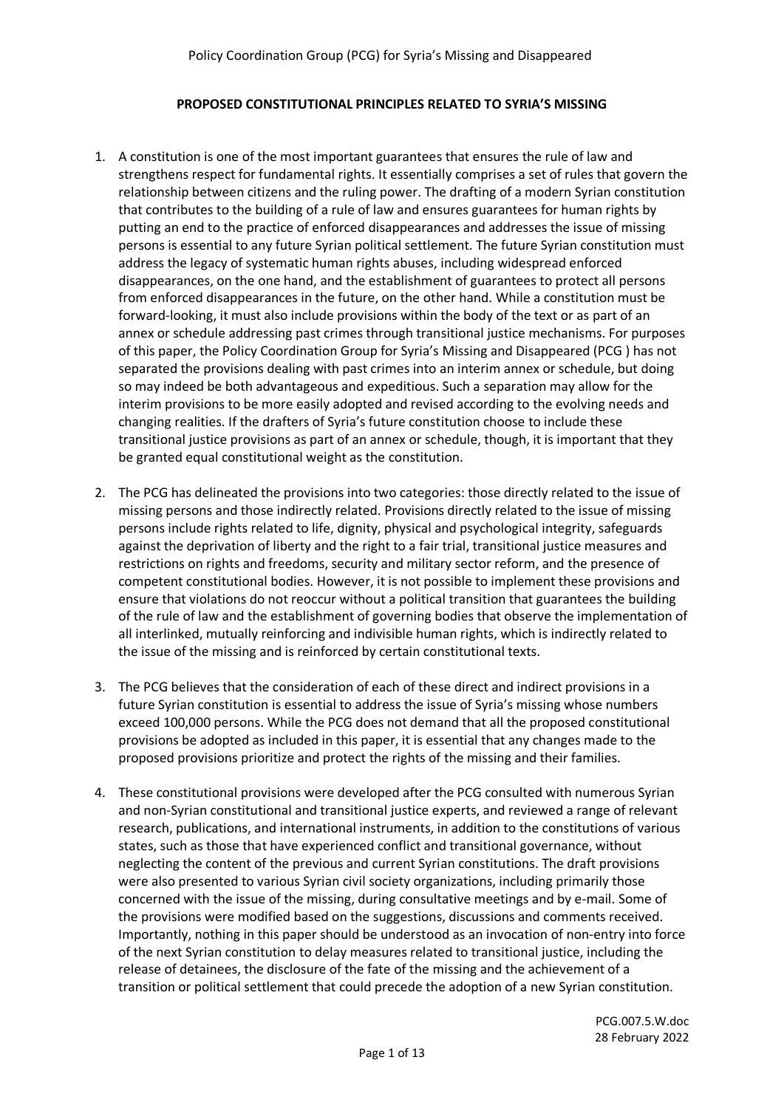#### **PROPOSED CONSTITUTIONAL PRINCIPLES RELATED TO SYRIA'S MISSING**

- 1. A constitution is one of the most important guarantees that ensures the rule of law and strengthens respect for fundamental rights. It essentially comprises a set of rules that govern the relationship between citizens and the ruling power. The drafting of a modern Syrian constitution that contributes to the building of a rule of law and ensures guarantees for human rights by putting an end to the practice of enforced disappearances and addresses the issue of missing persons is essential to any future Syrian political settlement. The future Syrian constitution must address the legacy of systematic human rights abuses, including widespread enforced disappearances, on the one hand, and the establishment of guarantees to protect all persons from enforced disappearances in the future, on the other hand. While a constitution must be forward-looking, it must also include provisions within the body of the text or as part of an annex or schedule addressing past crimes through transitional justice mechanisms. For purposes of this paper, the Policy Coordination Group for Syria's Missing and Disappeared (PCG ) has not separated the provisions dealing with past crimes into an interim annex or schedule, but doing so may indeed be both advantageous and expeditious. Such a separation may allow for the interim provisions to be more easily adopted and revised according to the evolving needs and changing realities. If the drafters of Syria's future constitution choose to include these transitional justice provisions as part of an annex or schedule, though, it is important that they be granted equal constitutional weight as the constitution.
- 2. The PCG has delineated the provisions into two categories: those directly related to the issue of missing persons and those indirectly related. Provisions directly related to the issue of missing persons include rights related to life, dignity, physical and psychological integrity, safeguards against the deprivation of liberty and the right to a fair trial, transitional justice measures and restrictions on rights and freedoms, security and military sector reform, and the presence of competent constitutional bodies. However, it is not possible to implement these provisions and ensure that violations do not reoccur without a political transition that guarantees the building of the rule of law and the establishment of governing bodies that observe the implementation of all interlinked, mutually reinforcing and indivisible human rights, which is indirectly related to the issue of the missing and is reinforced by certain constitutional texts.
- 3. The PCG believes that the consideration of each of these direct and indirect provisions in a future Syrian constitution is essential to address the issue of Syria's missing whose numbers exceed 100,000 persons. While the PCG does not demand that all the proposed constitutional provisions be adopted as included in this paper, it is essential that any changes made to the proposed provisions prioritize and protect the rights of the missing and their families.
- 4. These constitutional provisions were developed after the PCG consulted with numerous Syrian and non-Syrian constitutional and transitional justice experts, and reviewed a range of relevant research, publications, and international instruments, in addition to the constitutions of various states, such as those that have experienced conflict and transitional governance, without neglecting the content of the previous and current Syrian constitutions. The draft provisions were also presented to various Syrian civil society organizations, including primarily those concerned with the issue of the missing, during consultative meetings and by e-mail. Some of the provisions were modified based on the suggestions, discussions and comments received. Importantly, nothing in this paper should be understood as an invocation of non-entry into force of the next Syrian constitution to delay measures related to transitional justice, including the release of detainees, the disclosure of the fate of the missing and the achievement of a transition or political settlement that could precede the adoption of a new Syrian constitution.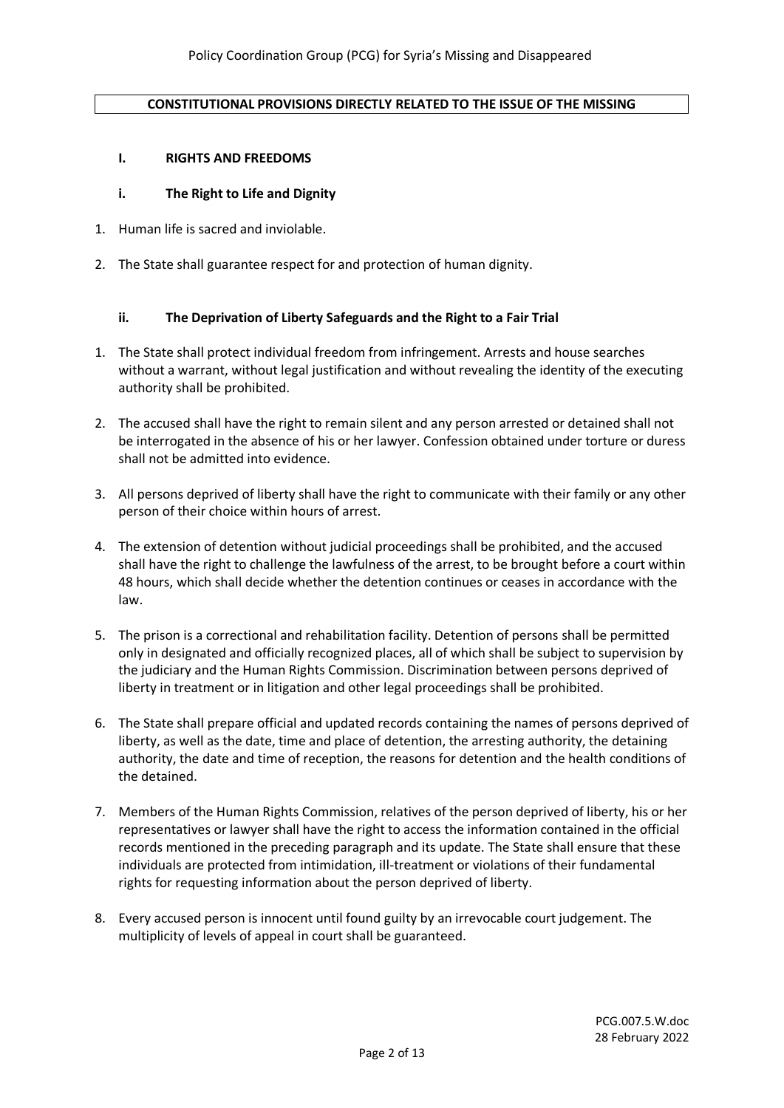#### **CONSTITUTIONAL PROVISIONS DIRECTLY RELATED TO THE ISSUE OF THE MISSING**

#### **I. RIGHTS AND FREEDOMS**

#### **i. The Right to Life and Dignity**

- 1. Human life is sacred and inviolable.
- 2. The State shall guarantee respect for and protection of human dignity.

#### **ii. The Deprivation of Liberty Safeguards and the Right to a Fair Trial**

- 1. The State shall protect individual freedom from infringement. Arrests and house searches without a warrant, without legal justification and without revealing the identity of the executing authority shall be prohibited.
- 2. The accused shall have the right to remain silent and any person arrested or detained shall not be interrogated in the absence of his or her lawyer. Confession obtained under torture or duress shall not be admitted into evidence.
- 3. All persons deprived of liberty shall have the right to communicate with their family or any other person of their choice within hours of arrest.
- 4. The extension of detention without judicial proceedings shall be prohibited, and the accused shall have the right to challenge the lawfulness of the arrest, to be brought before a court within 48 hours, which shall decide whether the detention continues or ceases in accordance with the law.
- 5. The prison is a correctional and rehabilitation facility. Detention of persons shall be permitted only in designated and officially recognized places, all of which shall be subject to supervision by the judiciary and the Human Rights Commission. Discrimination between persons deprived of liberty in treatment or in litigation and other legal proceedings shall be prohibited.
- 6. The State shall prepare official and updated records containing the names of persons deprived of liberty, as well as the date, time and place of detention, the arresting authority, the detaining authority, the date and time of reception, the reasons for detention and the health conditions of the detained.
- 7. Members of the Human Rights Commission, relatives of the person deprived of liberty, his or her representatives or lawyer shall have the right to access the information contained in the official records mentioned in the preceding paragraph and its update. The State shall ensure that these individuals are protected from intimidation, ill-treatment or violations of their fundamental rights for requesting information about the person deprived of liberty.
- 8. Every accused person is innocent until found guilty by an irrevocable court judgement. The multiplicity of levels of appeal in court shall be guaranteed.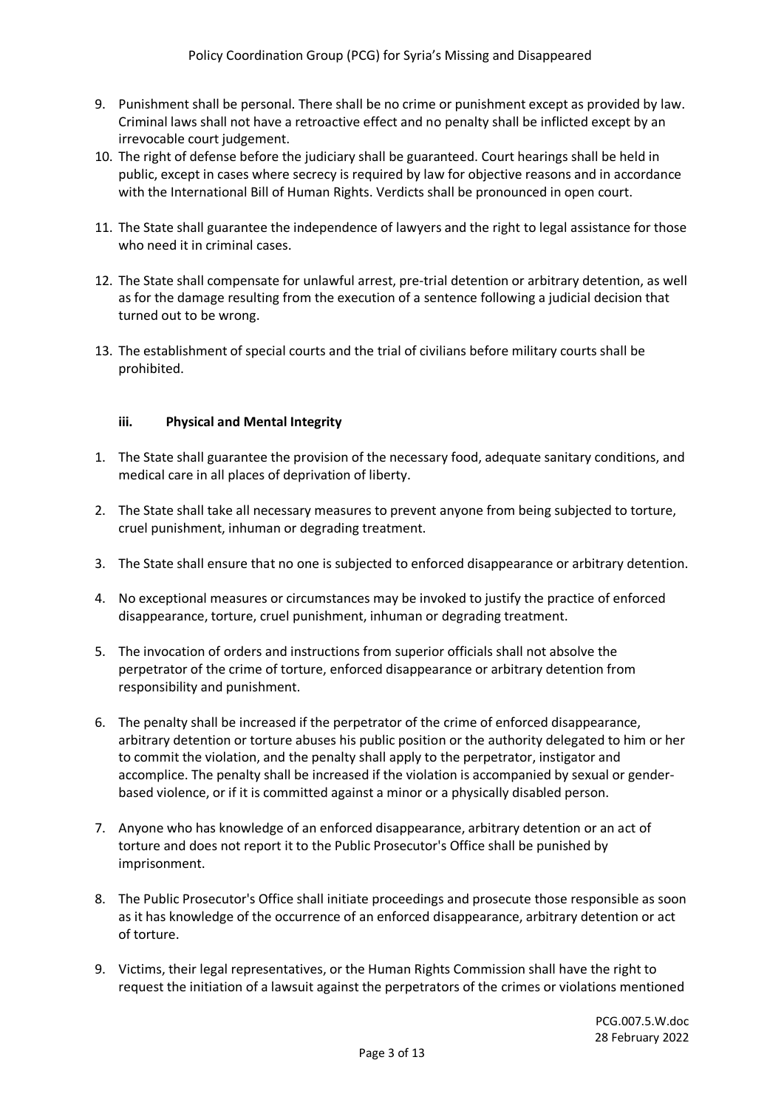- 9. Punishment shall be personal. There shall be no crime or punishment except as provided by law. Criminal laws shall not have a retroactive effect and no penalty shall be inflicted except by an irrevocable court judgement.
- 10. The right of defense before the judiciary shall be guaranteed. Court hearings shall be held in public, except in cases where secrecy is required by law for objective reasons and in accordance with the International Bill of Human Rights. Verdicts shall be pronounced in open court.
- 11. The State shall guarantee the independence of lawyers and the right to legal assistance for those who need it in criminal cases.
- 12. The State shall compensate for unlawful arrest, pre-trial detention or arbitrary detention, as well as for the damage resulting from the execution of a sentence following a judicial decision that turned out to be wrong.
- 13. The establishment of special courts and the trial of civilians before military courts shall be prohibited.

### **iii. Physical and Mental Integrity**

- 1. The State shall guarantee the provision of the necessary food, adequate sanitary conditions, and medical care in all places of deprivation of liberty.
- 2. The State shall take all necessary measures to prevent anyone from being subjected to torture, cruel punishment, inhuman or degrading treatment.
- 3. The State shall ensure that no one is subjected to enforced disappearance or arbitrary detention.
- 4. No exceptional measures or circumstances may be invoked to justify the practice of enforced disappearance, torture, cruel punishment, inhuman or degrading treatment.
- 5. The invocation of orders and instructions from superior officials shall not absolve the perpetrator of the crime of torture, enforced disappearance or arbitrary detention from responsibility and punishment.
- 6. The penalty shall be increased if the perpetrator of the crime of enforced disappearance, arbitrary detention or torture abuses his public position or the authority delegated to him or her to commit the violation, and the penalty shall apply to the perpetrator, instigator and accomplice. The penalty shall be increased if the violation is accompanied by sexual or genderbased violence, or if it is committed against a minor or a physically disabled person.
- 7. Anyone who has knowledge of an enforced disappearance, arbitrary detention or an act of torture and does not report it to the Public Prosecutor's Office shall be punished by imprisonment.
- 8. The Public Prosecutor's Office shall initiate proceedings and prosecute those responsible as soon as it has knowledge of the occurrence of an enforced disappearance, arbitrary detention or act of torture.
- 9. Victims, their legal representatives, or the Human Rights Commission shall have the right to request the initiation of a lawsuit against the perpetrators of the crimes or violations mentioned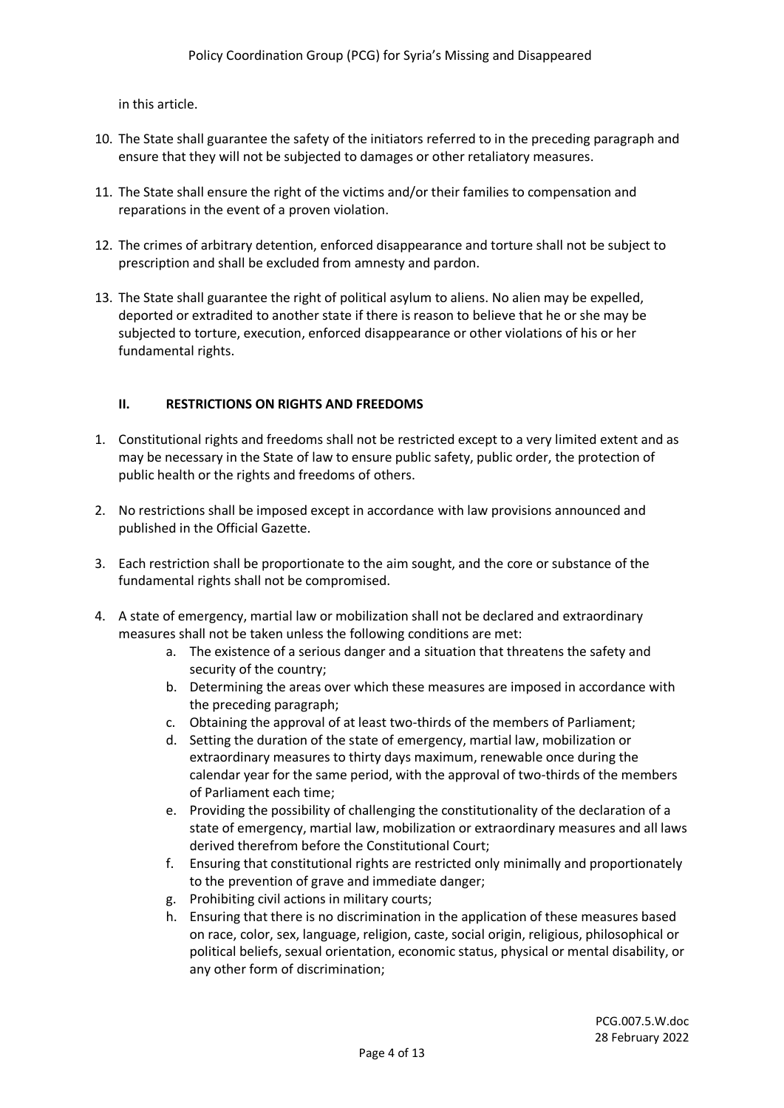in this article.

- 10. The State shall guarantee the safety of the initiators referred to in the preceding paragraph and ensure that they will not be subjected to damages or other retaliatory measures.
- 11. The State shall ensure the right of the victims and/or their families to compensation and reparations in the event of a proven violation.
- 12. The crimes of arbitrary detention, enforced disappearance and torture shall not be subject to prescription and shall be excluded from amnesty and pardon.
- 13. The State shall guarantee the right of political asylum to aliens. No alien may be expelled, deported or extradited to another state if there is reason to believe that he or she may be subjected to torture, execution, enforced disappearance or other violations of his or her fundamental rights.

# **II. RESTRICTIONS ON RIGHTS AND FREEDOMS**

- 1. Constitutional rights and freedoms shall not be restricted except to a very limited extent and as may be necessary in the State of law to ensure public safety, public order, the protection of public health or the rights and freedoms of others.
- 2. No restrictions shall be imposed except in accordance with law provisions announced and published in the Official Gazette.
- 3. Each restriction shall be proportionate to the aim sought, and the core or substance of the fundamental rights shall not be compromised.
- 4. A state of emergency, martial law or mobilization shall not be declared and extraordinary measures shall not be taken unless the following conditions are met:
	- a. The existence of a serious danger and a situation that threatens the safety and security of the country;
	- b. Determining the areas over which these measures are imposed in accordance with the preceding paragraph;
	- c. Obtaining the approval of at least two-thirds of the members of Parliament;
	- d. Setting the duration of the state of emergency, martial law, mobilization or extraordinary measures to thirty days maximum, renewable once during the calendar year for the same period, with the approval of two-thirds of the members of Parliament each time;
	- e. Providing the possibility of challenging the constitutionality of the declaration of a state of emergency, martial law, mobilization or extraordinary measures and all laws derived therefrom before the Constitutional Court;
	- f. Ensuring that constitutional rights are restricted only minimally and proportionately to the prevention of grave and immediate danger;
	- g. Prohibiting civil actions in military courts;
	- h. Ensuring that there is no discrimination in the application of these measures based on race, color, sex, language, religion, caste, social origin, religious, philosophical or political beliefs, sexual orientation, economic status, physical or mental disability, or any other form of discrimination;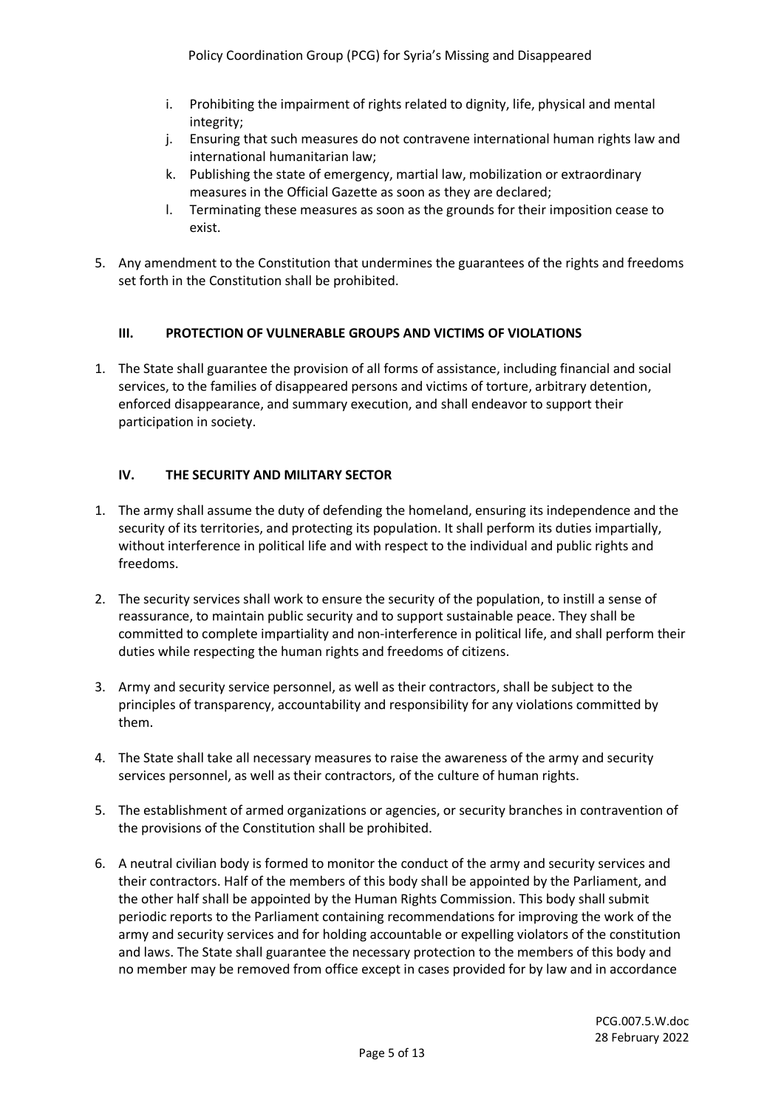- i. Prohibiting the impairment of rights related to dignity, life, physical and mental integrity;
- j. Ensuring that such measures do not contravene international human rights law and international humanitarian law;
- k. Publishing the state of emergency, martial law, mobilization or extraordinary measures in the Official Gazette as soon as they are declared;
- l. Terminating these measures as soon as the grounds for their imposition cease to exist.
- 5. Any amendment to the Constitution that undermines the guarantees of the rights and freedoms set forth in the Constitution shall be prohibited.

# **III. PROTECTION OF VULNERABLE GROUPS AND VICTIMS OF VIOLATIONS**

1. The State shall guarantee the provision of all forms of assistance, including financial and social services, to the families of disappeared persons and victims of torture, arbitrary detention, enforced disappearance, and summary execution, and shall endeavor to support their participation in society.

# **IV. THE SECURITY AND MILITARY SECTOR**

- 1. The army shall assume the duty of defending the homeland, ensuring its independence and the security of its territories, and protecting its population. It shall perform its duties impartially, without interference in political life and with respect to the individual and public rights and freedoms.
- 2. The security services shall work to ensure the security of the population, to instill a sense of reassurance, to maintain public security and to support sustainable peace. They shall be committed to complete impartiality and non-interference in political life, and shall perform their duties while respecting the human rights and freedoms of citizens.
- 3. Army and security service personnel, as well as their contractors, shall be subject to the principles of transparency, accountability and responsibility for any violations committed by them.
- 4. The State shall take all necessary measures to raise the awareness of the army and security services personnel, as well as their contractors, of the culture of human rights.
- 5. The establishment of armed organizations or agencies, or security branches in contravention of the provisions of the Constitution shall be prohibited.
- 6. A neutral civilian body is formed to monitor the conduct of the army and security services and their contractors. Half of the members of this body shall be appointed by the Parliament, and the other half shall be appointed by the Human Rights Commission. This body shall submit periodic reports to the Parliament containing recommendations for improving the work of the army and security services and for holding accountable or expelling violators of the constitution and laws. The State shall guarantee the necessary protection to the members of this body and no member may be removed from office except in cases provided for by law and in accordance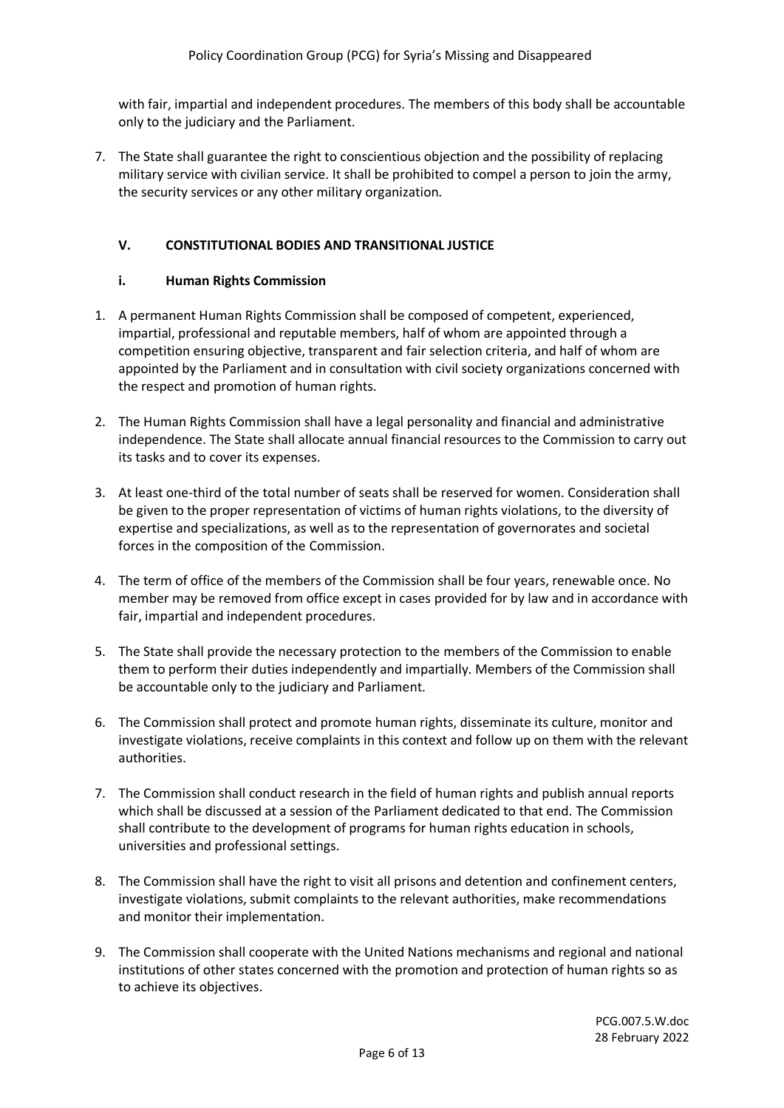with fair, impartial and independent procedures. The members of this body shall be accountable only to the judiciary and the Parliament.

7. The State shall guarantee the right to conscientious objection and the possibility of replacing military service with civilian service. It shall be prohibited to compel a person to join the army, the security services or any other military organization.

## **V. CONSTITUTIONAL BODIES AND TRANSITIONAL JUSTICE**

### **i. Human Rights Commission**

- 1. A permanent Human Rights Commission shall be composed of competent, experienced, impartial, professional and reputable members, half of whom are appointed through a competition ensuring objective, transparent and fair selection criteria, and half of whom are appointed by the Parliament and in consultation with civil society organizations concerned with the respect and promotion of human rights.
- 2. The Human Rights Commission shall have a legal personality and financial and administrative independence. The State shall allocate annual financial resources to the Commission to carry out its tasks and to cover its expenses.
- 3. At least one-third of the total number of seats shall be reserved for women. Consideration shall be given to the proper representation of victims of human rights violations, to the diversity of expertise and specializations, as well as to the representation of governorates and societal forces in the composition of the Commission.
- 4. The term of office of the members of the Commission shall be four years, renewable once. No member may be removed from office except in cases provided for by law and in accordance with fair, impartial and independent procedures.
- 5. The State shall provide the necessary protection to the members of the Commission to enable them to perform their duties independently and impartially. Members of the Commission shall be accountable only to the judiciary and Parliament.
- 6. The Commission shall protect and promote human rights, disseminate its culture, monitor and investigate violations, receive complaints in this context and follow up on them with the relevant authorities.
- 7. The Commission shall conduct research in the field of human rights and publish annual reports which shall be discussed at a session of the Parliament dedicated to that end. The Commission shall contribute to the development of programs for human rights education in schools, universities and professional settings.
- 8. The Commission shall have the right to visit all prisons and detention and confinement centers, investigate violations, submit complaints to the relevant authorities, make recommendations and monitor their implementation.
- 9. The Commission shall cooperate with the United Nations mechanisms and regional and national institutions of other states concerned with the promotion and protection of human rights so as to achieve its objectives.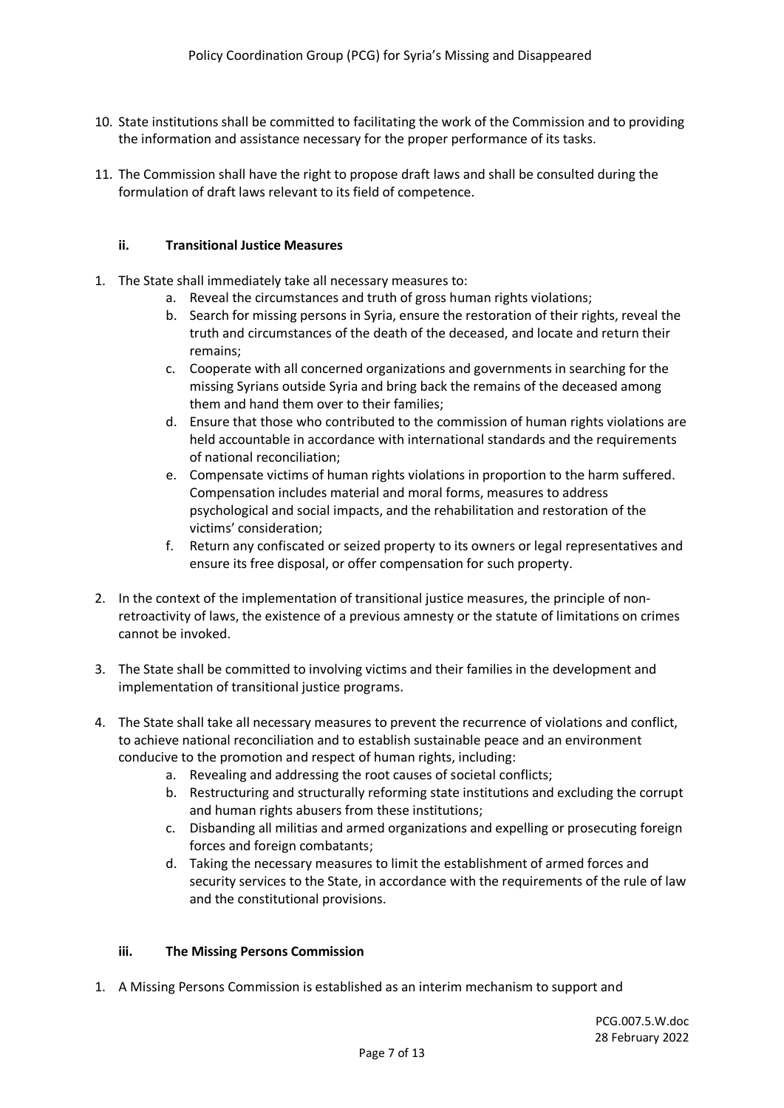- 10. State institutions shall be committed to facilitating the work of the Commission and to providing the information and assistance necessary for the proper performance of its tasks.
- 11. The Commission shall have the right to propose draft laws and shall be consulted during the formulation of draft laws relevant to its field of competence.

# **ii. Transitional Justice Measures**

- 1. The State shall immediately take all necessary measures to:
	- a. Reveal the circumstances and truth of gross human rights violations;
	- b. Search for missing persons in Syria, ensure the restoration of their rights, reveal the truth and circumstances of the death of the deceased, and locate and return their remains;
	- c. Cooperate with all concerned organizations and governments in searching for the missing Syrians outside Syria and bring back the remains of the deceased among them and hand them over to their families;
	- d. Ensure that those who contributed to the commission of human rights violations are held accountable in accordance with international standards and the requirements of national reconciliation;
	- e. Compensate victims of human rights violations in proportion to the harm suffered. Compensation includes material and moral forms, measures to address psychological and social impacts, and the rehabilitation and restoration of the victims' consideration;
	- f. Return any confiscated or seized property to its owners or legal representatives and ensure its free disposal, or offer compensation for such property.
- 2. In the context of the implementation of transitional justice measures, the principle of nonretroactivity of laws, the existence of a previous amnesty or the statute of limitations on crimes cannot be invoked.
- 3. The State shall be committed to involving victims and their families in the development and implementation of transitional justice programs.
- 4. The State shall take all necessary measures to prevent the recurrence of violations and conflict, to achieve national reconciliation and to establish sustainable peace and an environment conducive to the promotion and respect of human rights, including:
	- a. Revealing and addressing the root causes of societal conflicts;
	- b. Restructuring and structurally reforming state institutions and excluding the corrupt and human rights abusers from these institutions;
	- c. Disbanding all militias and armed organizations and expelling or prosecuting foreign forces and foreign combatants;
	- d. Taking the necessary measures to limit the establishment of armed forces and security services to the State, in accordance with the requirements of the rule of law and the constitutional provisions.

#### **iii. The Missing Persons Commission**

1. A Missing Persons Commission is established as an interim mechanism to support and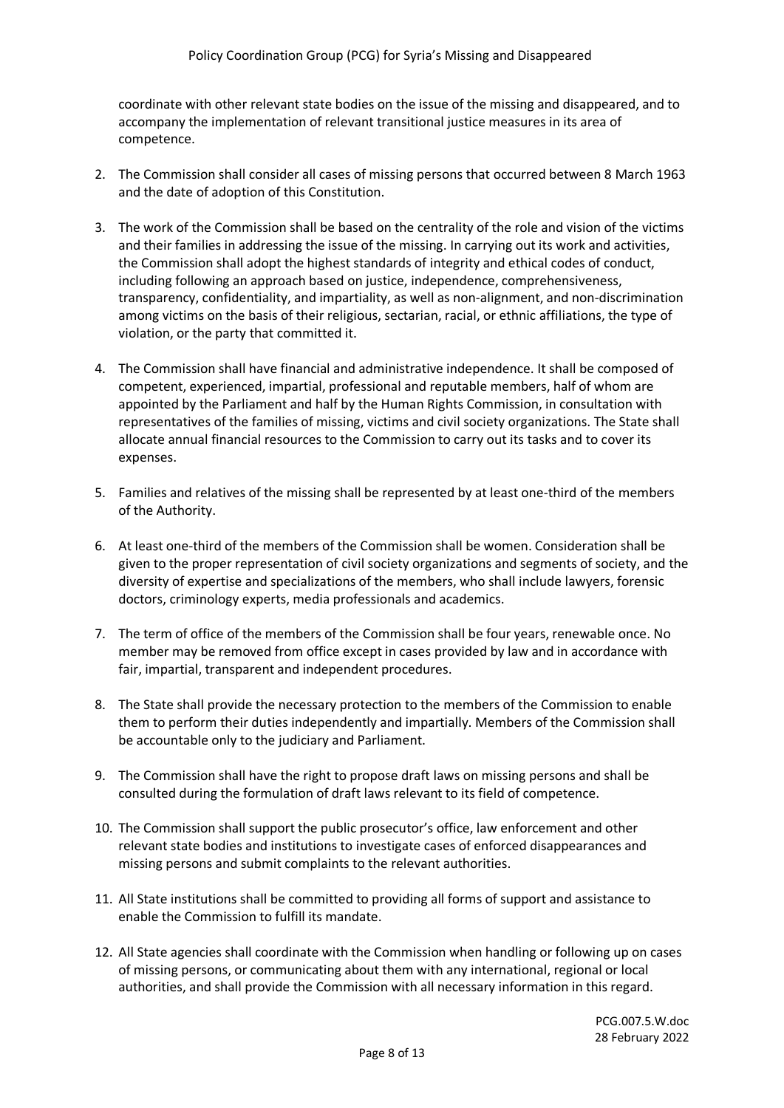coordinate with other relevant state bodies on the issue of the missing and disappeared, and to accompany the implementation of relevant transitional justice measures in its area of competence.

- 2. The Commission shall consider all cases of missing persons that occurred between 8 March 1963 and the date of adoption of this Constitution.
- 3. The work of the Commission shall be based on the centrality of the role and vision of the victims and their families in addressing the issue of the missing. In carrying out its work and activities, the Commission shall adopt the highest standards of integrity and ethical codes of conduct, including following an approach based on justice, independence, comprehensiveness, transparency, confidentiality, and impartiality, as well as non-alignment, and non-discrimination among victims on the basis of their religious, sectarian, racial, or ethnic affiliations, the type of violation, or the party that committed it.
- 4. The Commission shall have financial and administrative independence. It shall be composed of competent, experienced, impartial, professional and reputable members, half of whom are appointed by the Parliament and half by the Human Rights Commission, in consultation with representatives of the families of missing, victims and civil society organizations. The State shall allocate annual financial resources to the Commission to carry out its tasks and to cover its expenses.
- 5. Families and relatives of the missing shall be represented by at least one-third of the members of the Authority.
- 6. At least one-third of the members of the Commission shall be women. Consideration shall be given to the proper representation of civil society organizations and segments of society, and the diversity of expertise and specializations of the members, who shall include lawyers, forensic doctors, criminology experts, media professionals and academics.
- 7. The term of office of the members of the Commission shall be four years, renewable once. No member may be removed from office except in cases provided by law and in accordance with fair, impartial, transparent and independent procedures.
- 8. The State shall provide the necessary protection to the members of the Commission to enable them to perform their duties independently and impartially. Members of the Commission shall be accountable only to the judiciary and Parliament.
- 9. The Commission shall have the right to propose draft laws on missing persons and shall be consulted during the formulation of draft laws relevant to its field of competence.
- 10. The Commission shall support the public prosecutor's office, law enforcement and other relevant state bodies and institutions to investigate cases of enforced disappearances and missing persons and submit complaints to the relevant authorities.
- 11. All State institutions shall be committed to providing all forms of support and assistance to enable the Commission to fulfill its mandate.
- 12. All State agencies shall coordinate with the Commission when handling or following up on cases of missing persons, or communicating about them with any international, regional or local authorities, and shall provide the Commission with all necessary information in this regard.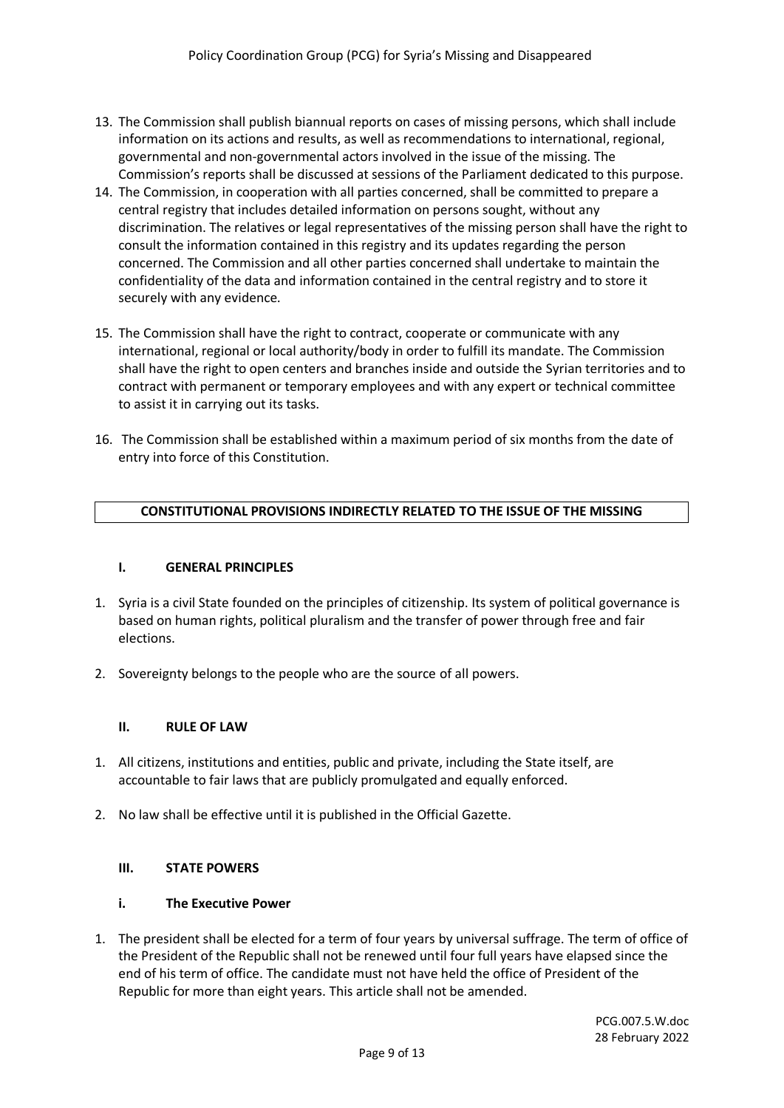- 13. The Commission shall publish biannual reports on cases of missing persons, which shall include information on its actions and results, as well as recommendations to international, regional, governmental and non-governmental actors involved in the issue of the missing. The Commission's reports shall be discussed at sessions of the Parliament dedicated to this purpose.
- 14. The Commission, in cooperation with all parties concerned, shall be committed to prepare a central registry that includes detailed information on persons sought, without any discrimination. The relatives or legal representatives of the missing person shall have the right to consult the information contained in this registry and its updates regarding the person concerned. The Commission and all other parties concerned shall undertake to maintain the confidentiality of the data and information contained in the central registry and to store it securely with any evidence.
- 15. The Commission shall have the right to contract, cooperate or communicate with any international, regional or local authority/body in order to fulfill its mandate. The Commission shall have the right to open centers and branches inside and outside the Syrian territories and to contract with permanent or temporary employees and with any expert or technical committee to assist it in carrying out its tasks.
- 16. The Commission shall be established within a maximum period of six months from the date of entry into force of this Constitution.

### **CONSTITUTIONAL PROVISIONS INDIRECTLY RELATED TO THE ISSUE OF THE MISSING**

#### **I. GENERAL PRINCIPLES**

- 1. Syria is a civil State founded on the principles of citizenship. Its system of political governance is based on human rights, political pluralism and the transfer of power through free and fair elections.
- 2. Sovereignty belongs to the people who are the source of all powers.

#### **II. RULE OF LAW**

- 1. All citizens, institutions and entities, public and private, including the State itself, are accountable to fair laws that are publicly promulgated and equally enforced.
- 2. No law shall be effective until it is published in the Official Gazette.

#### **III. STATE POWERS**

### **i. The Executive Power**

1. The president shall be elected for a term of four years by universal suffrage. The term of office of the President of the Republic shall not be renewed until four full years have elapsed since the end of his term of office. The candidate must not have held the office of President of the Republic for more than eight years. This article shall not be amended.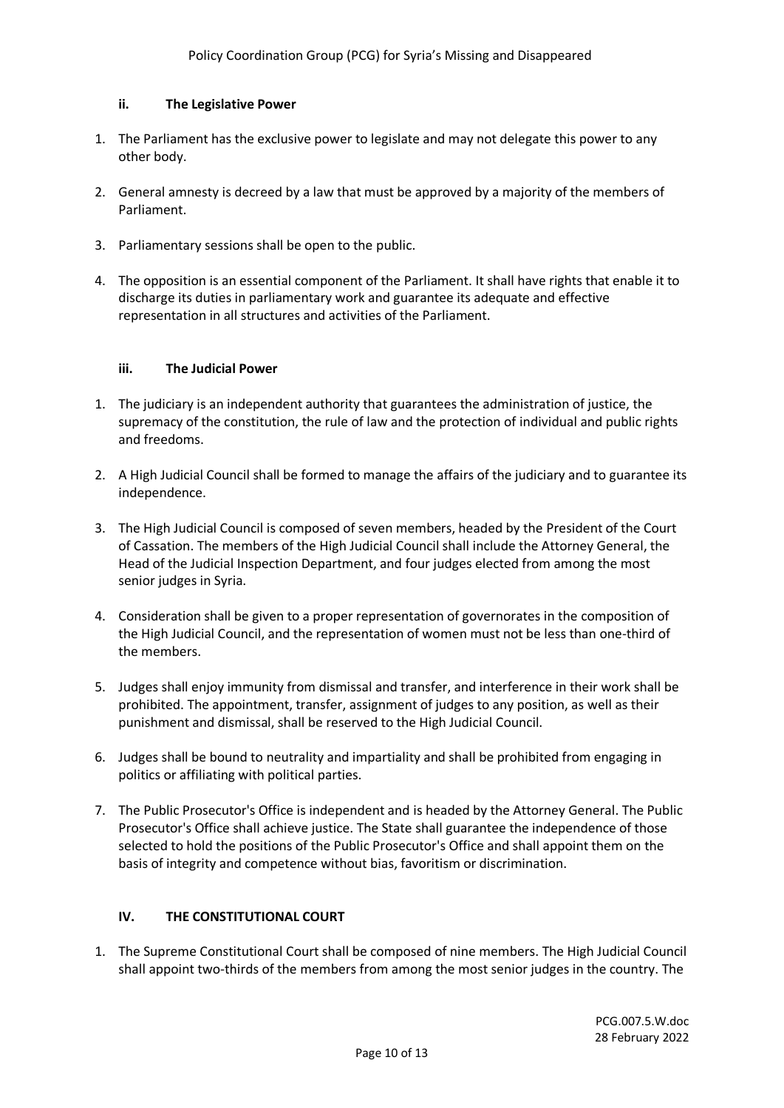## **ii. The Legislative Power**

- 1. The Parliament has the exclusive power to legislate and may not delegate this power to any other body.
- 2. General amnesty is decreed by a law that must be approved by a majority of the members of Parliament.
- 3. Parliamentary sessions shall be open to the public.
- 4. The opposition is an essential component of the Parliament. It shall have rights that enable it to discharge its duties in parliamentary work and guarantee its adequate and effective representation in all structures and activities of the Parliament.

### **iii. The Judicial Power**

- 1. The judiciary is an independent authority that guarantees the administration of justice, the supremacy of the constitution, the rule of law and the protection of individual and public rights and freedoms.
- 2. A High Judicial Council shall be formed to manage the affairs of the judiciary and to guarantee its independence.
- 3. The High Judicial Council is composed of seven members, headed by the President of the Court of Cassation. The members of the High Judicial Council shall include the Attorney General, the Head of the Judicial Inspection Department, and four judges elected from among the most senior judges in Syria.
- 4. Consideration shall be given to a proper representation of governorates in the composition of the High Judicial Council, and the representation of women must not be less than one-third of the members.
- 5. Judges shall enjoy immunity from dismissal and transfer, and interference in their work shall be prohibited. The appointment, transfer, assignment of judges to any position, as well as their punishment and dismissal, shall be reserved to the High Judicial Council.
- 6. Judges shall be bound to neutrality and impartiality and shall be prohibited from engaging in politics or affiliating with political parties.
- 7. The Public Prosecutor's Office is independent and is headed by the Attorney General. The Public Prosecutor's Office shall achieve justice. The State shall guarantee the independence of those selected to hold the positions of the Public Prosecutor's Office and shall appoint them on the basis of integrity and competence without bias, favoritism or discrimination.

# **IV. THE CONSTITUTIONAL COURT**

1. The Supreme Constitutional Court shall be composed of nine members. The High Judicial Council shall appoint two-thirds of the members from among the most senior judges in the country. The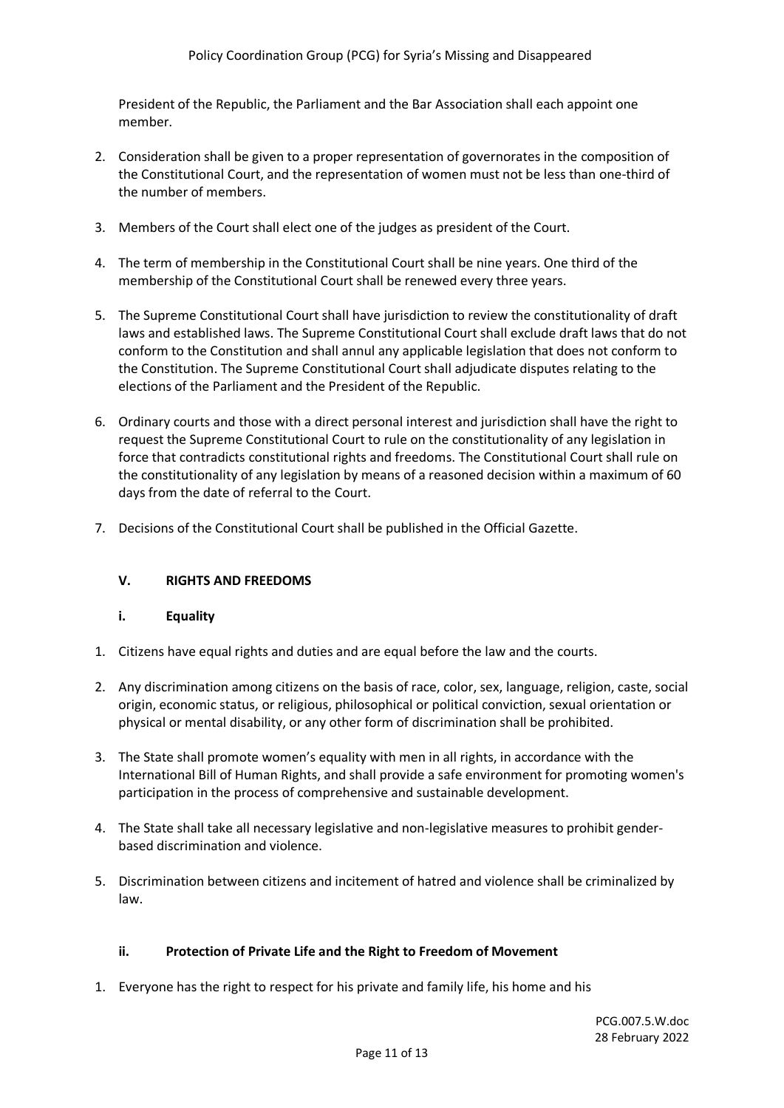President of the Republic, the Parliament and the Bar Association shall each appoint one member.

- 2. Consideration shall be given to a proper representation of governorates in the composition of the Constitutional Court, and the representation of women must not be less than one-third of the number of members.
- 3. Members of the Court shall elect one of the judges as president of the Court.
- 4. The term of membership in the Constitutional Court shall be nine years. One third of the membership of the Constitutional Court shall be renewed every three years.
- 5. The Supreme Constitutional Court shall have jurisdiction to review the constitutionality of draft laws and established laws. The Supreme Constitutional Court shall exclude draft laws that do not conform to the Constitution and shall annul any applicable legislation that does not conform to the Constitution. The Supreme Constitutional Court shall adjudicate disputes relating to the elections of the Parliament and the President of the Republic.
- 6. Ordinary courts and those with a direct personal interest and jurisdiction shall have the right to request the Supreme Constitutional Court to rule on the constitutionality of any legislation in force that contradicts constitutional rights and freedoms. The Constitutional Court shall rule on the constitutionality of any legislation by means of a reasoned decision within a maximum of 60 days from the date of referral to the Court.
- 7. Decisions of the Constitutional Court shall be published in the Official Gazette.

# **V. RIGHTS AND FREEDOMS**

#### **i. Equality**

- 1. Citizens have equal rights and duties and are equal before the law and the courts.
- 2. Any discrimination among citizens on the basis of race, color, sex, language, religion, caste, social origin, economic status, or religious, philosophical or political conviction, sexual orientation or physical or mental disability, or any other form of discrimination shall be prohibited.
- 3. The State shall promote women's equality with men in all rights, in accordance with the International Bill of Human Rights, and shall provide a safe environment for promoting women's participation in the process of comprehensive and sustainable development.
- 4. The State shall take all necessary legislative and non-legislative measures to prohibit genderbased discrimination and violence.
- 5. Discrimination between citizens and incitement of hatred and violence shall be criminalized by law.

#### **ii. Protection of Private Life and the Right to Freedom of Movement**

1. Everyone has the right to respect for his private and family life, his home and his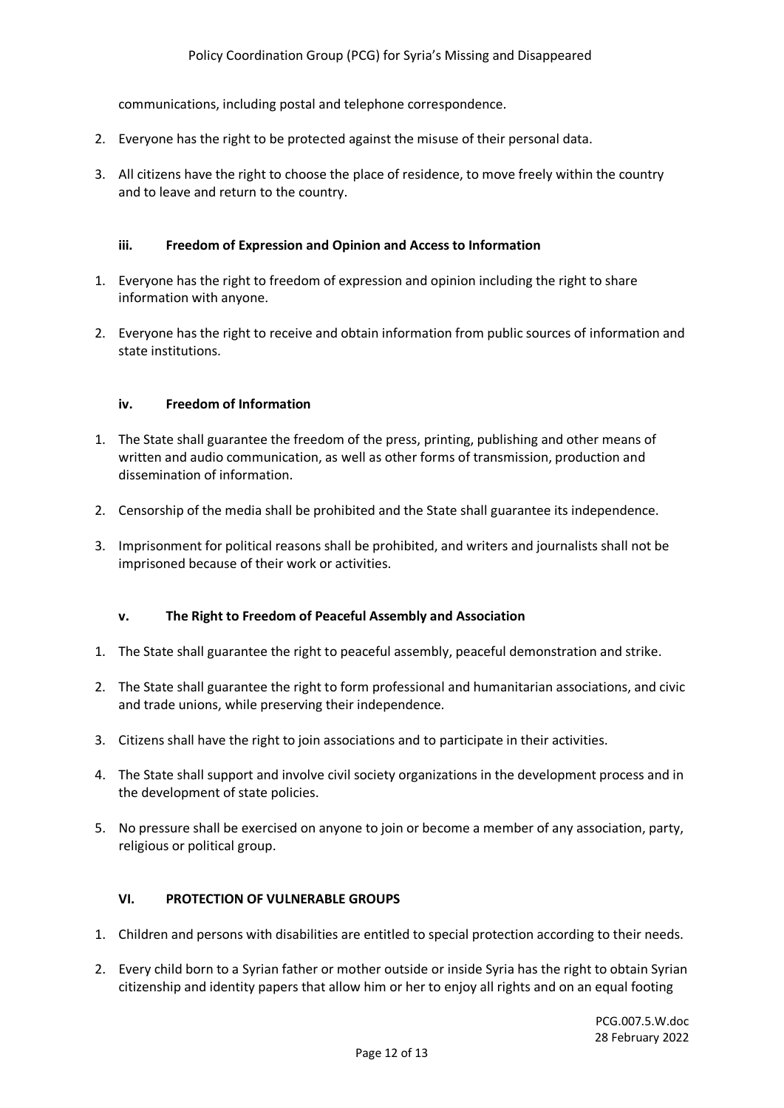communications, including postal and telephone correspondence.

- 2. Everyone has the right to be protected against the misuse of their personal data.
- 3. All citizens have the right to choose the place of residence, to move freely within the country and to leave and return to the country.

#### **iii. Freedom of Expression and Opinion and Access to Information**

- 1. Everyone has the right to freedom of expression and opinion including the right to share information with anyone.
- 2. Everyone has the right to receive and obtain information from public sources of information and state institutions.

#### **iv. Freedom of Information**

- 1. The State shall guarantee the freedom of the press, printing, publishing and other means of written and audio communication, as well as other forms of transmission, production and dissemination of information.
- 2. Censorship of the media shall be prohibited and the State shall guarantee its independence.
- 3. Imprisonment for political reasons shall be prohibited, and writers and journalists shall not be imprisoned because of their work or activities.

#### **v. The Right to Freedom of Peaceful Assembly and Association**

- 1. The State shall guarantee the right to peaceful assembly, peaceful demonstration and strike.
- 2. The State shall guarantee the right to form professional and humanitarian associations, and civic and trade unions, while preserving their independence.
- 3. Citizens shall have the right to join associations and to participate in their activities.
- 4. The State shall support and involve civil society organizations in the development process and in the development of state policies.
- 5. No pressure shall be exercised on anyone to join or become a member of any association, party, religious or political group.

#### **VI. PROTECTION OF VULNERABLE GROUPS**

- 1. Children and persons with disabilities are entitled to special protection according to their needs.
- 2. Every child born to a Syrian father or mother outside or inside Syria has the right to obtain Syrian citizenship and identity papers that allow him or her to enjoy all rights and on an equal footing